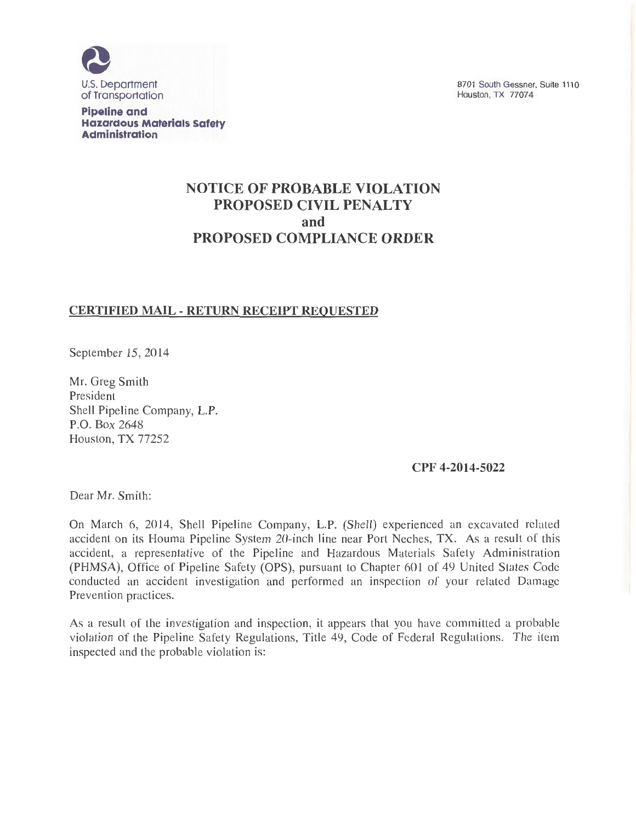

**Pipeline and Hazardous Materials Safety Administration** 

8701 South Gessner, Suite 1110 Houston, TX 77074

# **NOTICE OF PROBABLE VIOLATION PROPOSED CIVIL PENALTY and PROPOSED COMPLIANCE ORDER**

## **CERTIFIED MAIL- RETURN RECEIPT REQUESTED**

September 15, 2014

Mr. Greg Smith President Shell Pipeline Company, L.P. P.O. Box 2648 Houston, TX 77252

**CPF 4-2014-5022** 

Dear Mr. Smith:

On March 6, 2014, Shell Pipeline Company, L.P. (Shell) experienced an excavated related accident on its Houma Pipeline System 20-inch line near Port Neches, TX. As a result of this accident, a representative of the Pipeline and Hazardous Materials Safety Administration (PHMSA), Office of Pipeline Safety (OPS), pursuant to Chapter 601 of 49 United States Code conducted an accident investigation and performed an inspection of your related Damage Prevention practices.

As a result of the investigation and inspection, it appears that you have committed a probable violation of the Pipeline Safety Regulations, Title 49, Code of Federal Regulations. The item inspected and the probable violation is: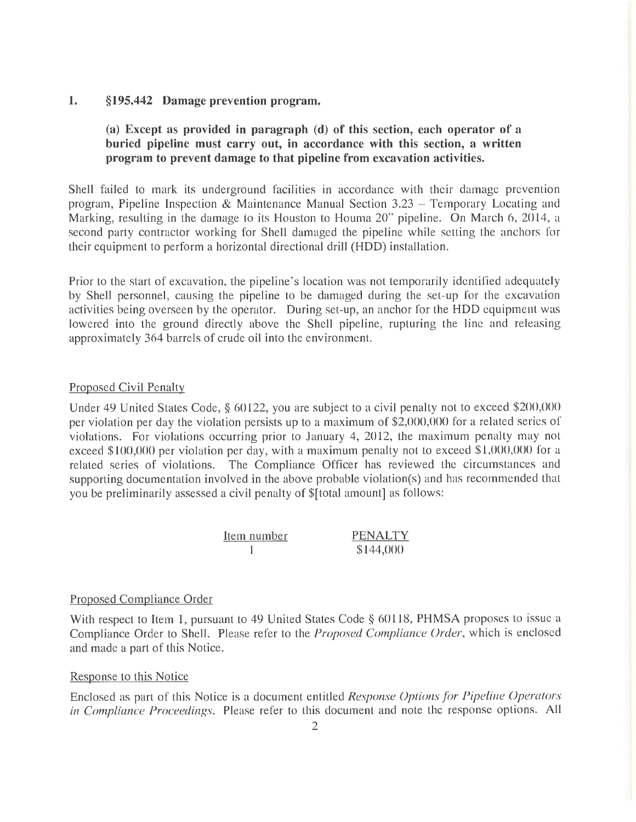### **1. §195.442 Damage prevention program.**

## **(a) Except as provided in paragraph (d) of this section, each operator of a buried pipeline must carry out, in accordance with this section, a written program to prevent damage to that pipeline from excavation activities.**

Shell failed to mark its underground facilities in accordance with their damage prevention program, Pipeline Inspection & Maintenance Manual Section 3.23 - Temporary Locating and Marking, resulting in the damage to its Houston to Howna 20" pipeline. On March 6, 2014, a second party contractor working for Shell damaged the pipeline while setting the anchors for their equipment to perform a horizontal directional drill (HDD) installation.

Prior to the start of excavation, the pipeline's location was not temporarily identified adequately by Shell personnel, causing the pipeline to be damaged during the set-up for the excavation activities being overseen by the operator. During set-up, an anchor for the HDD equipment was lowered into the ground directly above the Shell pipeline, rupturing the line and releasing approximately 364 barrels of crude oil into the environment.

#### Proposed Civil Penalty

Under 49 United States Code, § 60122, you are subject to a civil penalty not to exceed \$200,000 per violation per day the violation persists up to a maximum of \$2,000,000 for a related series of violations. For violations occurring prior to January 4, 2012, the maximum penalty may not exceed \$100,000 per violation per day, with a maximum penalty not to exceed \$1,000,000 for a related series of violations. The Compliance Officer has reviewed the circumstances and supporting documentation involved in the above probable violation(s) and has recommended that you be preliminarily assessed a civil penalty of \$[total amount] as follows:

| Item number | <b>PENALTY</b> |
|-------------|----------------|
|             | \$144,000      |

## Proposed Compliance Order

With respect to Item 1, pursuant to 49 United States Code § 60118, PHMSA proposes to issue a Compliance Order to Shell. Please refer to the *Proposed Compliance Order,* which is enclosed and made a part of this Notice.

#### Response to this Notice

Enclosed as part of this Notice is a document entitled *Response Options for Pipeline Operators in Compliance Proceedings.* Please refer to this document and note the response options. All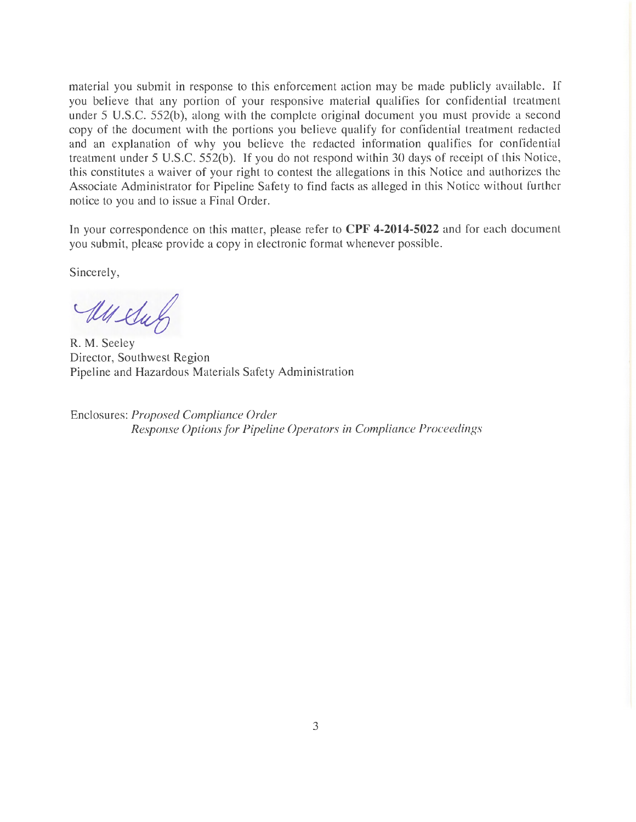material you submit in response to this enforcement action may be made publicly available. If you believe that any portion of your responsive material qualifies for confidential treatment under 5 U.S.C. 552(b), along with the complete original document you must provide a second copy of the document with the portions you believe qualify for confidential treatment redacted and an explanation of why you believe the redacted information qualifies for confidential treatment under 5 U.S.C. 552(b). If you do not respond within 30 days of receipt of this Notice, this constitutes a waiver of your right to contest the allegations in this Notice and authorizes the Associate Administrator for Pipeline Safety to find facts as alleged in this Notice without further notice to you and to issue a Final Order.

In your correspondence on this matter, please refer to **CPF 4-2014-5022** and for each document you submit, please provide a copy in electronic format whenever possible.

Sincerely,

All Sur

R. M. Seeley Director, Southwest Region Pipeline and Hazardous Materials Safety Administration

Enclosures: *Proposed Compliance Order Response Options for Pipeline Operators in Compliance Proceedings*